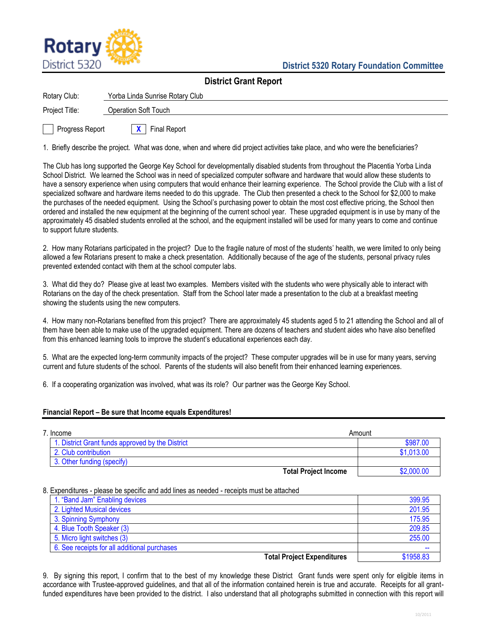

| <b>District Grant Report</b> |                                 |  |
|------------------------------|---------------------------------|--|
| Rotary Club:                 | Yorba Linda Sunrise Rotary Club |  |
| Project Title:               | <b>Operation Soft Touch</b>     |  |
| Progress Report              | <b>Final Report</b>             |  |

1. Briefly describe the project. What was done, when and where did project activities take place, and who were the beneficiaries?

The Club has long supported the George Key School for developmentally disabled students from throughout the Placentia Yorba Linda School District. We learned the School was in need of specialized computer software and hardware that would allow these students to have a sensory experience when using computers that would enhance their learning experience. The School provide the Club with a list of specialized software and hardware items needed to do this upgrade. The Club then presented a check to the School for \$2,000 to make the purchases of the needed equipment. Using the School's purchasing power to obtain the most cost effective pricing, the School then ordered and installed the new equipment at the beginning of the current school year. These upgraded equipment is in use by many of the approximately 45 disabled students enrolled at the school, and the equipment installed will be used for many years to come and continue to support future students.

2. How many Rotarians participated in the project? Due to the fragile nature of most of the students' health, we were limited to only being allowed a few Rotarians present to make a check presentation. Additionally because of the age of the students, personal privacy rules prevented extended contact with them at the school computer labs.

3. What did they do? Please give at least two examples. Members visited with the students who were physically able to interact with Rotarians on the day of the check presentation. Staff from the School later made a presentation to the club at a breakfast meeting showing the students using the new computers.

4. How many non-Rotarians benefited from this project? There are approximately 45 students aged 5 to 21 attending the School and all of them have been able to make use of the upgraded equipment. There are dozens of teachers and student aides who have also benefited from this enhanced learning tools to improve the student's educational experiences each day.

5. What are the expected long-term community impacts of the project? These computer upgrades will be in use for many years, serving current and future students of the school. Parents of the students will also benefit from their enhanced learning experiences.

6. If a cooperating organization was involved, what was its role? Our partner was the George Key School.

## **Financial Report – Be sure that Income equals Expenditures!**

| 7. Income                                        | Amount                      |            |
|--------------------------------------------------|-----------------------------|------------|
| 1. District Grant funds approved by the District |                             | \$987.00   |
| 2. Club contribution                             |                             | \$1,013.00 |
| 3. Other funding (specify)                       |                             |            |
|                                                  | <b>Total Project Income</b> | \$2,000.00 |

## 8. Expenditures - please be specific and add lines as needed - receipts must be attached

| 1. "Band Jam" Enabling devices               | 399.95    |
|----------------------------------------------|-----------|
| 2. Lighted Musical devices                   | 201.95    |
| 3. Spinning Symphony                         | 175.95    |
| 4. Blue Tooth Speaker (3)                    | 209.85    |
| 5. Micro light switches (3)                  | 255.00    |
| 6. See receipts for all additional purchases |           |
| <b>Total Project Expenditures</b>            | \$1958.83 |

9. By signing this report, I confirm that to the best of my knowledge these District Grant funds were spent only for eligible items in accordance with Trustee-approved guidelines, and that all of the information contained herein is true and accurate. Receipts for all grantfunded expenditures have been provided to the district. I also understand that all photographs submitted in connection with this report will